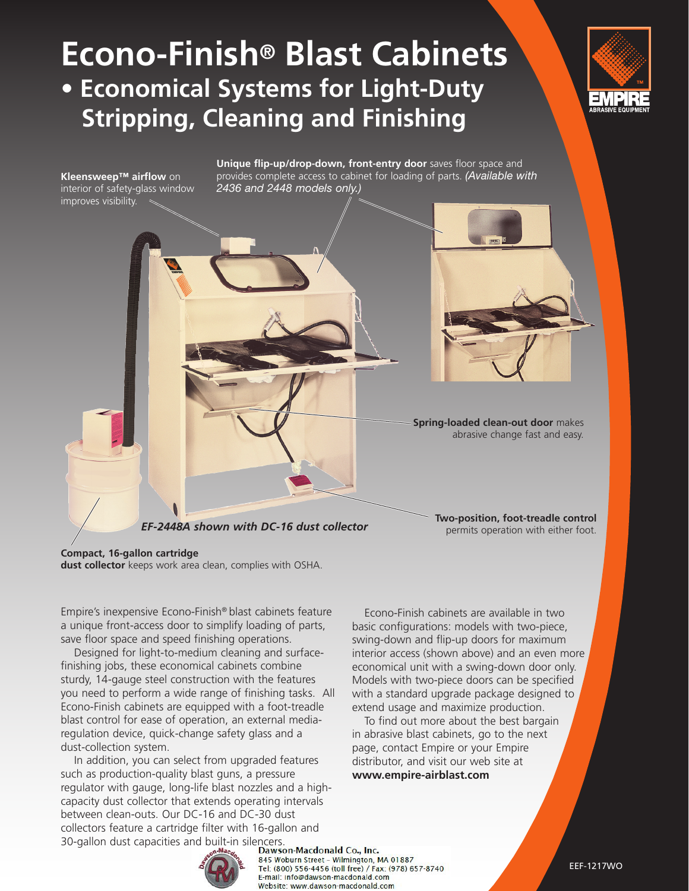# **Econo-Finish® Blast Cabinets • Economical Systems for Light-Duty Stripping, Cleaning and Finishing**





**Unique flip-up/drop-down, front-entry door** saves floor space and

#### **Compact, 16-gallon cartridge**

**dust collector** keeps work area clean, complies with OSHA.

Empire's inexpensive Econo-Finish® blast cabinets feature a unique front-access door to simplify loading of parts, save floor space and speed finishing operations.

 Designed for light-to-medium cleaning and surfacefinishing jobs, these economical cabinets combine sturdy, 14-gauge steel construction with the features you need to perform a wide range of finishing tasks. All Econo-Finish cabinets are equipped with a foot-treadle blast control for ease of operation, an external mediaregulation device, quick-change safety glass and a dust-collection system.

 In addition, you can select from upgraded features such as production-quality blast guns, a pressure regulator with gauge, long-life blast nozzles and a highcapacity dust collector that extends operating intervals between clean-outs. Our DC-16 and DC-30 dust collectors feature a cartridge filter with 16-gallon and 30-gallon dust capacities and built-in silencers.<br> **Dawson-Macdonald Co., Inc.**<br> **Dawson-Macdonald Co., Inc.** 

 Econo-Finish cabinets are available in two basic configurations: models with two-piece, swing-down and flip-up doors for maximum interior access (shown above) and an even more economical unit with a swing-down door only. Models with two-piece doors can be specified with a standard upgrade package designed to extend usage and maximize production.

 To find out more about the best bargain in abrasive blast cabinets, go to the next page, contact Empire or your Empire distributor, and visit our web site at **www.empire-airblast.com**



845 Woburn Street - Wilmington, MA 01887 Tel: (800) 556-4456 (toll free) / Fax: (978) 657-8740 E-mail: info@dawson-macdonald.com Website: www.dawson-macdonald.com

EEF-1217WO